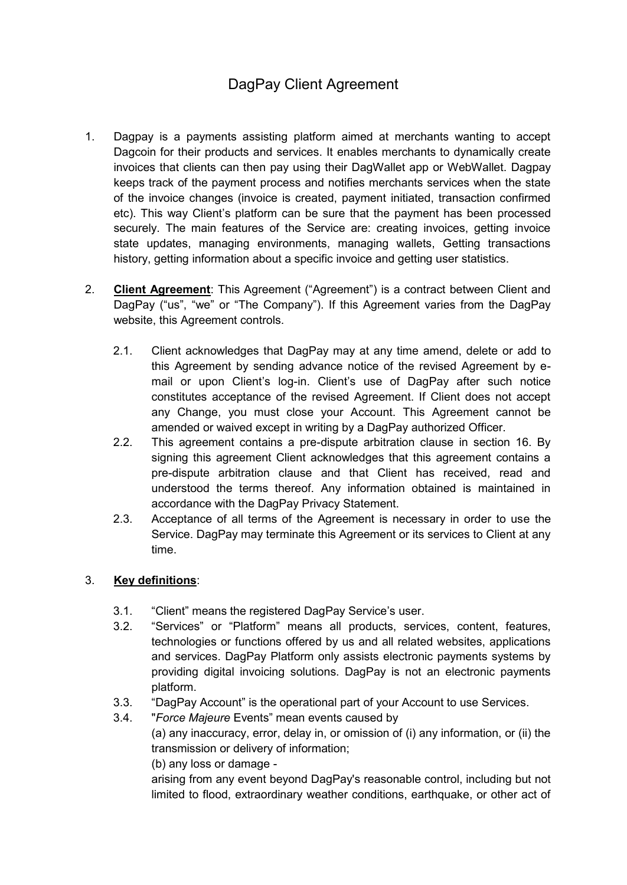# DagPay Client Agreement

- 1. Dagpay is a payments assisting platform aimed at merchants wanting to accept Dagcoin for their products and services. It enables merchants to dynamically create invoices that clients can then pay using their DagWallet app or WebWallet. Dagpay keeps track of the payment process and notifies merchants services when the state of the invoice changes (invoice is created, payment initiated, transaction confirmed etc). This way Client's platform can be sure that the payment has been processed securely. The main features of the Service are: creating invoices, getting invoice state updates, managing environments, managing wallets, Getting transactions history, getting information about a specific invoice and getting user statistics.
- 2. **Client Agreement**: This Agreement ("Agreement") is a contract between Client and DagPay ("us", "we" or "The Company"). If this Agreement varies from the DagPay website, this Agreement controls.
	- 2.1. Client acknowledges that DagPay may at any time amend, delete or add to this Agreement by sending advance notice of the revised Agreement by email or upon Client's log-in. Client's use of DagPay after such notice constitutes acceptance of the revised Agreement. If Client does not accept any Change, you must close your Account. This Agreement cannot be amended or waived except in writing by a DagPay authorized Officer.
	- 2.2. This agreement contains a pre-dispute arbitration clause in section 16. By signing this agreement Client acknowledges that this agreement contains a pre-dispute arbitration clause and that Client has received, read and understood the terms thereof. Any information obtained is maintained in accordance with the DagPay Privacy Statement.
	- 2.3. Acceptance of all terms of the Agreement is necessary in order to use the Service. DagPay may terminate this Agreement or its services to Client at any time.

## 3. **Key definitions**:

- 3.1. "Client" means the registered DagPay Service's user.
- 3.2. "Services" or "Platform" means all products, services, content, features, technologies or functions offered by us and all related websites, applications and services. DagPay Platform only assists electronic payments systems by providing digital invoicing solutions. DagPay is not an electronic payments platform.
- 3.3. "DagPay Account" is the operational part of your Account to use Services.
- 3.4. "*Force Majeure* Events" mean events caused by

(a) any inaccuracy, error, delay in, or omission of (i) any information, or (ii) the transmission or delivery of information;

(b) any loss or damage -

arising from any event beyond DagPay's reasonable control, including but not limited to flood, extraordinary weather conditions, earthquake, or other act of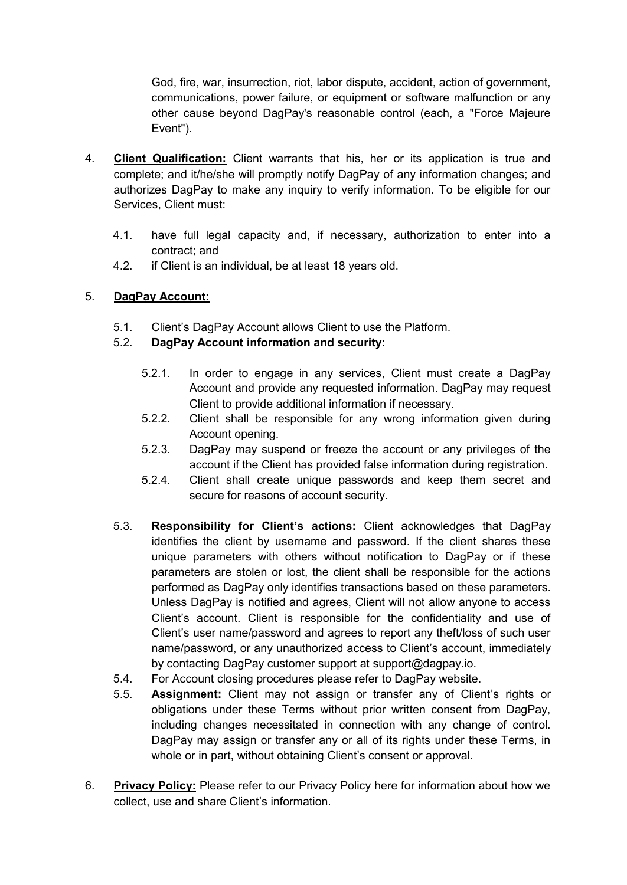God, fire, war, insurrection, riot, labor dispute, accident, action of government, communications, power failure, or equipment or software malfunction or any other cause beyond DagPay's reasonable control (each, a "Force Majeure Event").

- 4. **Client Qualification:** Client warrants that his, her or its application is true and complete; and it/he/she will promptly notify DagPay of any information changes; and authorizes DagPay to make any inquiry to verify information. To be eligible for our Services, Client must:
	- 4.1. have full legal capacity and, if necessary, authorization to enter into a contract; and
	- 4.2. if Client is an individual, be at least 18 years old.

## 5. **DagPay Account:**

5.1. Client's DagPay Account allows Client to use the Platform.

# 5.2. **DagPay Account information and security:**

- 5.2.1. In order to engage in any services, Client must create a DagPay Account and provide any requested information. DagPay may request Client to provide additional information if necessary.
- 5.2.2. Client shall be responsible for any wrong information given during Account opening.
- 5.2.3. DagPay may suspend or freeze the account or any privileges of the account if the Client has provided false information during registration.
- 5.2.4. Client shall create unique passwords and keep them secret and secure for reasons of account security.
- 5.3. **Responsibility for Client's actions:** Client acknowledges that DagPay identifies the client by username and password. If the client shares these unique parameters with others without notification to DagPay or if these parameters are stolen or lost, the client shall be responsible for the actions performed as DagPay only identifies transactions based on these parameters. Unless DagPay is notified and agrees, Client will not allow anyone to access Client's account. Client is responsible for the confidentiality and use of Client's user name/password and agrees to report any theft/loss of such user name/password, or any unauthorized access to Client's account, immediately by contacting DagPay customer support at support@dagpay.io.
- 5.4. For Account closing procedures please refer to DagPay website.
- 5.5. **Assignment:** Client may not assign or transfer any of Client's rights or obligations under these Terms without prior written consent from DagPay, including changes necessitated in connection with any change of control. DagPay may assign or transfer any or all of its rights under these Terms, in whole or in part, without obtaining Client's consent or approval.
- 6. **Privacy Policy:** Please refer to our Privacy Policy here for information about how we collect, use and share Client's information.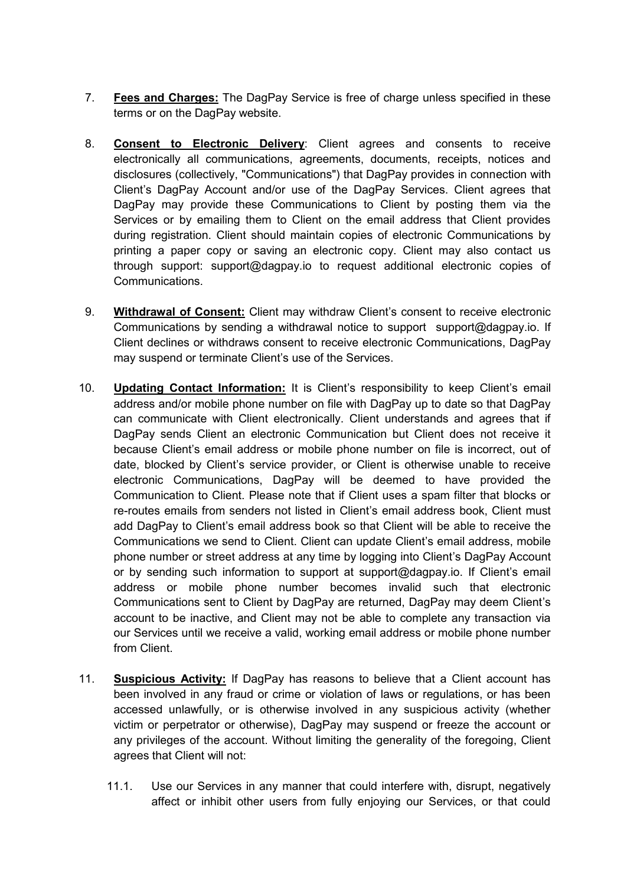- 7. **Fees and Charges:** The DagPay Service is free of charge unless specified in these terms or on the DagPay website.
- 8. **Consent to Electronic Delivery**: Client agrees and consents to receive electronically all communications, agreements, documents, receipts, notices and disclosures (collectively, "Communications") that DagPay provides in connection with Client's DagPay Account and/or use of the DagPay Services. Client agrees that DagPay may provide these Communications to Client by posting them via the Services or by emailing them to Client on the email address that Client provides during registration. Client should maintain copies of electronic Communications by printing a paper copy or saving an electronic copy. Client may also contact us through support: support@dagpay.io to request additional electronic copies of Communications.
- 9. **Withdrawal of Consent:** Client may withdraw Client's consent to receive electronic Communications by sending a withdrawal notice to support support@dagpay.io. If Client declines or withdraws consent to receive electronic Communications, DagPay may suspend or terminate Client's use of the Services.
- 10. **Updating Contact Information:** It is Client's responsibility to keep Client's email address and/or mobile phone number on file with DagPay up to date so that DagPay can communicate with Client electronically. Client understands and agrees that if DagPay sends Client an electronic Communication but Client does not receive it because Client's email address or mobile phone number on file is incorrect, out of date, blocked by Client's service provider, or Client is otherwise unable to receive electronic Communications, DagPay will be deemed to have provided the Communication to Client. Please note that if Client uses a spam filter that blocks or re-routes emails from senders not listed in Client's email address book, Client must add DagPay to Client's email address book so that Client will be able to receive the Communications we send to Client. Client can update Client's email address, mobile phone number or street address at any time by logging into Client's DagPay Account or by sending such information to support at support@dagpay.io. If Client's email address or mobile phone number becomes invalid such that electronic Communications sent to Client by DagPay are returned, DagPay may deem Client's account to be inactive, and Client may not be able to complete any transaction via our Services until we receive a valid, working email address or mobile phone number from Client.
- 11. **Suspicious Activity:** If DagPay has reasons to believe that a Client account has been involved in any fraud or crime or violation of laws or regulations, or has been accessed unlawfully, or is otherwise involved in any suspicious activity (whether victim or perpetrator or otherwise), DagPay may suspend or freeze the account or any privileges of the account. Without limiting the generality of the foregoing, Client agrees that Client will not:
	- 11.1. Use our Services in any manner that could interfere with, disrupt, negatively affect or inhibit other users from fully enjoying our Services, or that could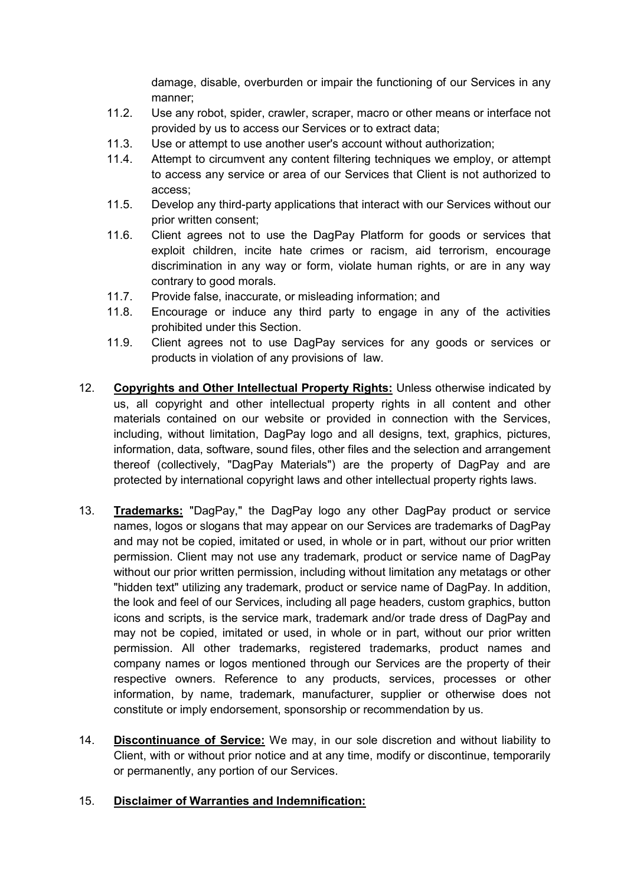damage, disable, overburden or impair the functioning of our Services in any manner;

- 11.2. Use any robot, spider, crawler, scraper, macro or other means or interface not provided by us to access our Services or to extract data;
- 11.3. Use or attempt to use another user's account without authorization;
- 11.4. Attempt to circumvent any content filtering techniques we employ, or attempt to access any service or area of our Services that Client is not authorized to access;
- 11.5. Develop any third-party applications that interact with our Services without our prior written consent;
- 11.6. Client agrees not to use the DagPay Platform for goods or services that exploit children, incite hate crimes or racism, aid terrorism, encourage discrimination in any way or form, violate human rights, or are in any way contrary to good morals.
- 11.7. Provide false, inaccurate, or misleading information; and
- 11.8. Encourage or induce any third party to engage in any of the activities prohibited under this Section.
- 11.9. Client agrees not to use DagPay services for any goods or services or products in violation of any provisions of law.
- 12. **Copyrights and Other Intellectual Property Rights:** Unless otherwise indicated by us, all copyright and other intellectual property rights in all content and other materials contained on our website or provided in connection with the Services, including, without limitation, DagPay logo and all designs, text, graphics, pictures, information, data, software, sound files, other files and the selection and arrangement thereof (collectively, "DagPay Materials") are the property of DagPay and are protected by international copyright laws and other intellectual property rights laws.
- 13. **Trademarks:** "DagPay," the DagPay logo any other DagPay product or service names, logos or slogans that may appear on our Services are trademarks of DagPay and may not be copied, imitated or used, in whole or in part, without our prior written permission. Client may not use any trademark, product or service name of DagPay without our prior written permission, including without limitation any metatags or other "hidden text" utilizing any trademark, product or service name of DagPay. In addition, the look and feel of our Services, including all page headers, custom graphics, button icons and scripts, is the service mark, trademark and/or trade dress of DagPay and may not be copied, imitated or used, in whole or in part, without our prior written permission. All other trademarks, registered trademarks, product names and company names or logos mentioned through our Services are the property of their respective owners. Reference to any products, services, processes or other information, by name, trademark, manufacturer, supplier or otherwise does not constitute or imply endorsement, sponsorship or recommendation by us.
- 14. **Discontinuance of Service:** We may, in our sole discretion and without liability to Client, with or without prior notice and at any time, modify or discontinue, temporarily or permanently, any portion of our Services.

#### 15. **Disclaimer of Warranties and Indemnification:**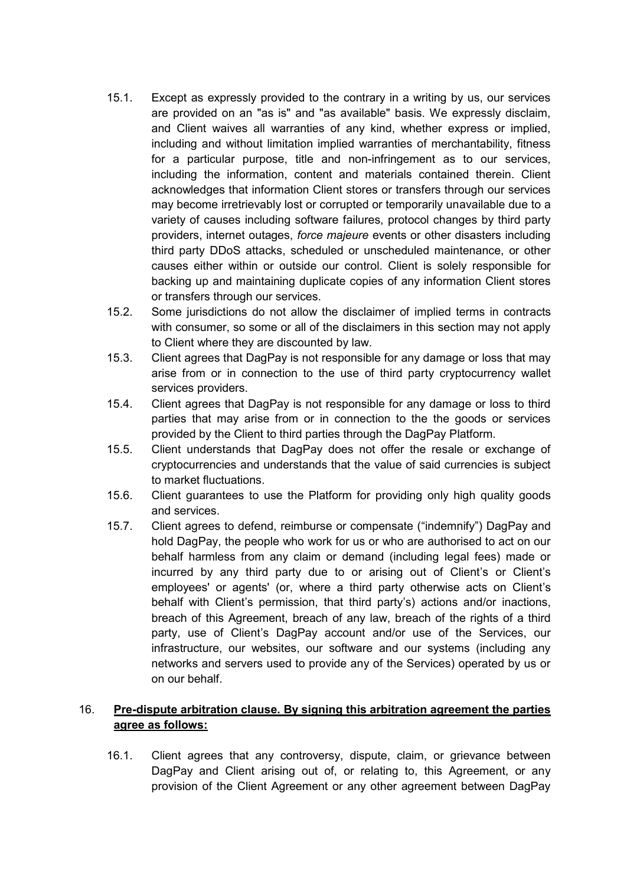- 15.1. Except as expressly provided to the contrary in a writing by us, our services are provided on an "as is" and "as available" basis. We expressly disclaim, and Client waives all warranties of any kind, whether express or implied, including and without limitation implied warranties of merchantability, fitness for a particular purpose, title and non-infringement as to our services, including the information, content and materials contained therein. Client acknowledges that information Client stores or transfers through our services may become irretrievably lost or corrupted or temporarily unavailable due to a variety of causes including software failures, protocol changes by third party providers, internet outages, *force majeure* events or other disasters including third party DDoS attacks, scheduled or unscheduled maintenance, or other causes either within or outside our control. Client is solely responsible for backing up and maintaining duplicate copies of any information Client stores or transfers through our services.
- 15.2. Some jurisdictions do not allow the disclaimer of implied terms in contracts with consumer, so some or all of the disclaimers in this section may not apply to Client where they are discounted by law.
- 15.3. Client agrees that DagPay is not responsible for any damage or loss that may arise from or in connection to the use of third party cryptocurrency wallet services providers.
- 15.4. Client agrees that DagPay is not responsible for any damage or loss to third parties that may arise from or in connection to the the goods or services provided by the Client to third parties through the DagPay Platform.
- 15.5. Client understands that DagPay does not offer the resale or exchange of cryptocurrencies and understands that the value of said currencies is subject to market fluctuations.
- 15.6. Client guarantees to use the Platform for providing only high quality goods and services.
- 15.7. Client agrees to defend, reimburse or compensate ("indemnify") DagPay and hold DagPay, the people who work for us or who are authorised to act on our behalf harmless from any claim or demand (including legal fees) made or incurred by any third party due to or arising out of Client's or Client's employees' or agents' (or, where a third party otherwise acts on Client's behalf with Client's permission, that third party's) actions and/or inactions, breach of this Agreement, breach of any law, breach of the rights of a third party, use of Client's DagPay account and/or use of the Services, our infrastructure, our websites, our software and our systems (including any networks and servers used to provide any of the Services) operated by us or on our behalf.

# 16. **Pre-dispute arbitration clause. By signing this arbitration agreement the parties agree as follows:**

16.1. Client agrees that any controversy, dispute, claim, or grievance between DagPay and Client arising out of, or relating to, this Agreement, or any provision of the Client Agreement or any other agreement between DagPay